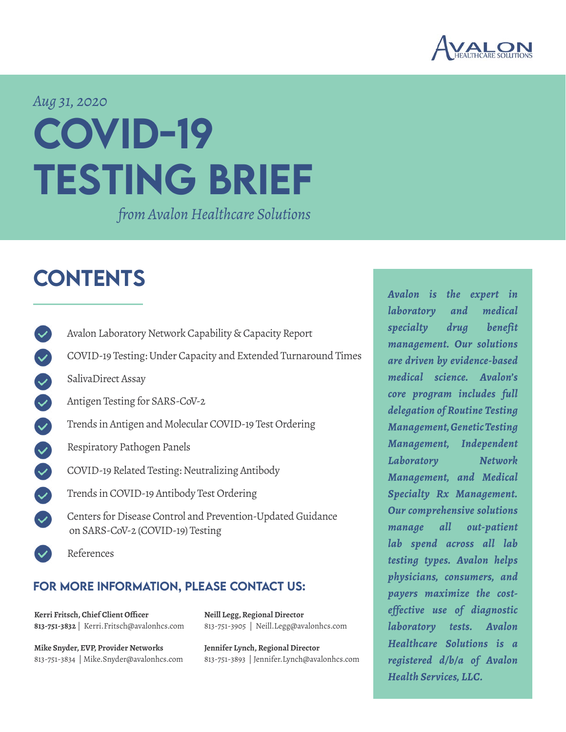

### *Aug 31, 2020*

# COVID-19 TESTING BRIEF

*from Avalon Healthcare Solutions*

# **CONTENTS**

- [Avalon Laboratory Network Capability & Capacity Report](#page-1-0)
- [COVID-19 Testing: Under Capacity and Extended Turnaround Times](#page-2-0)
- [SalivaDirect Assay](#page-5-0)
- [Antigen Testing for SARS-CoV-2](#page-6-0)
- [Trends in Antigen and Molecular COVID-19 Test Ordering](#page-7-0)
	- [Respiratory Pathogen Panels](#page-8-0)
- 38 [COVID-19 Related Testing: Neutralizing Antibody](#page-10-0)
- [Trends in COVID-19 Antibody Test Ordering](#page-7-0)
	- [Centers for Disease Control and Prevention-Updated Guidance](#page-12-0)  [on SARS-CoV-2 \(COVID-19\) Testing](#page-12-0)
	- [References](#page-13-0)

### FOR MORE INFORMATION, PLEASE CONTACT US:

**Kerri Fritsch, Chief Client Officer 813-751-3832** | Kerri.Fritsch@avalonhcs.com

**Mike Snyder, EVP, Provider Networks** 813-751-3834 | Mike.Snyder@avalonhcs.com **Neill Legg, Regional Director** 813-751-3905 | Neill.Legg@avalonhcs.com

**Jennifer Lynch, Regional Director** 813-751-3893 | Jennifer.Lynch@avalonhcs.com *Avalon is the expert in laboratory and medical specialty drug benefit management. Our solutions are driven by evidence-based medical science. Avalon's core program includes full delegation of Routine Testing Management, Genetic Testing Management, Independent Laboratory Network Management, and Medical Specialty Rx Management. Our comprehensive solutions manage all out-patient lab spend across all lab testing types. Avalon helps physicians, consumers, and payers maximize the costeffective use of diagnostic laboratory tests. Avalon Healthcare Solutions is a registered d/b/a of Avalon Health Services, LLC.*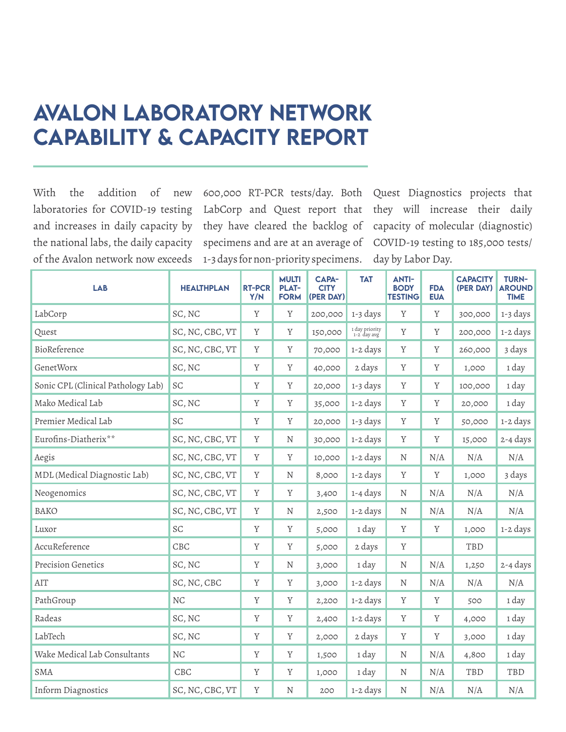# <span id="page-1-0"></span>Avalon Laboratory Network Capability & Capacity Report

With the addition of new laboratories for COVID-19 testing and increases in daily capacity by the national labs, the daily capacity of the Avalon network now exceeds

600,000 RT-PCR tests/day. Both LabCorp and Quest report that they have cleared the backlog of specimens and are at an average of 1-3 days for non-priority specimens.

Quest Diagnostics projects that they will increase their daily capacity of molecular (diagnostic) COVID-19 testing to 185,000 tests/ day by Labor Day.

| <b>LAB</b>                         | <b>HEALTHPLAN</b> | <b>RT-PCR</b><br>Y/N | <b>MULTI</b><br><b>PLAT-</b><br><b>FORM</b> | <b>CAPA-</b><br><b>CITY</b><br>(PER DAY) | <b>TAT</b>                    | <b>ANTI-</b><br><b>BODY</b><br><b>TESTING</b> | <b>FDA</b><br><b>EUA</b> | <b>CAPACITY</b><br>(PER DAY) | <b>TURN-</b><br><b>AROUND</b><br><b>TIME</b> |
|------------------------------------|-------------------|----------------------|---------------------------------------------|------------------------------------------|-------------------------------|-----------------------------------------------|--------------------------|------------------------------|----------------------------------------------|
| LabCorp                            | SC, NC            | Y                    | Y                                           | 200,000                                  | 1-3 days                      | Y                                             | Y                        | 300,000                      | 1-3 days                                     |
| Quest                              | SC, NC, CBC, VT   | Y                    | Y                                           | 150,000                                  | 1 day priority<br>1-2 day avg | Y                                             | Y                        | 200,000                      | 1-2 days                                     |
| BioReference                       | SC, NC, CBC, VT   | $\rm Y$              | Y                                           | 70,000                                   | 1-2 days                      | Y                                             | Y                        | 260,000                      | 3 days                                       |
| GenetWorx                          | SC, NC            | Y                    | Y                                           | 40,000                                   | 2 days                        | Y                                             | Y                        | 1,000                        | 1 day                                        |
| Sonic CPL (Clinical Pathology Lab) | SC                | Y                    | Y                                           | 20,000                                   | 1-3 days                      | Y                                             | Y                        | 100,000                      | 1 day                                        |
| Mako Medical Lab                   | SC, NC            | Y                    | Y                                           | 35,000                                   | 1-2 days                      | Y                                             | Y                        | 20,000                       | 1 day                                        |
| Premier Medical Lab                | SC                | Y                    | Y                                           | 20,000                                   | 1-3 days                      | $\mathbf Y$                                   | Y                        | 50,000                       | 1-2 days                                     |
| Eurofins-Diatherix**               | SC, NC, CBC, VT   | Y                    | N                                           | 30,000                                   | 1-2 days                      | Y                                             | Y                        | 15,000                       | 2-4 days                                     |
| Aegis                              | SC, NC, CBC, VT   | Y                    | Y                                           | 10,000                                   | 1-2 days                      | N                                             | N/A                      | N/A                          | N/A                                          |
| MDL (Medical Diagnostic Lab)       | SC, NC, CBC, VT   | Y                    | N                                           | 8,000                                    | 1-2 days                      | Y                                             | Y                        | 1,000                        | 3 days                                       |
| Neogenomics                        | SC, NC, CBC, VT   | Y                    | Y                                           | 3,400                                    | 1-4 days                      | N                                             | N/A                      | N/A                          | N/A                                          |
| <b>BAKO</b>                        | SC, NC, CBC, VT   | Y                    | N                                           | 2,500                                    | 1-2 days                      | N                                             | N/A                      | N/A                          | N/A                                          |
| Luxor                              | SC                | Y                    | Y                                           | 5,000                                    | 1 day                         | Y                                             | Y                        | 1,000                        | 1-2 days                                     |
| AccuReference                      | CBC               | Y                    | Y                                           | 5,000                                    | 2 days                        | Y                                             |                          | TBD                          |                                              |
| Precision Genetics                 | SC, NC            | Y                    | N                                           | 3,000                                    | 1 day                         | N                                             | N/A                      | 1,250                        | 2-4 days                                     |
| AIT                                | SC, NC, CBC       | Y                    | Y                                           | 3,000                                    | 1-2 days                      | N                                             | N/A                      | N/A                          | N/A                                          |
| PathGroup                          | NC                | Y                    | Y                                           | 2,200                                    | 1-2 days                      | $\mathbf Y$                                   | Y                        | 500                          | 1 day                                        |
| Radeas                             | SC, NC            | Y                    | Y                                           | 2,400                                    | 1-2 days                      | $\mathbf Y$                                   | Y                        | 4,000                        | 1 day                                        |
| LabTech                            | SC, NC            | Y                    | Y                                           | 2,000                                    | 2 days                        | $\mathbf Y$                                   | $\mathbf Y$              | 3,000                        | 1 day                                        |
| Wake Medical Lab Consultants       | <b>NC</b>         | Y                    | Y                                           | 1,500                                    | 1 day                         | N                                             | N/A                      | 4,800                        | 1 day                                        |
| <b>SMA</b>                         | CBC               | Y                    | Y                                           | 1,000                                    | 1 day                         | N                                             | N/A                      | TBD                          | TBD                                          |
| Inform Diagnostics                 | SC, NC, CBC, VT   | $\mathbf Y$          | N                                           | 200                                      | 1-2 days                      | N                                             | N/A                      | N/A                          | N/A                                          |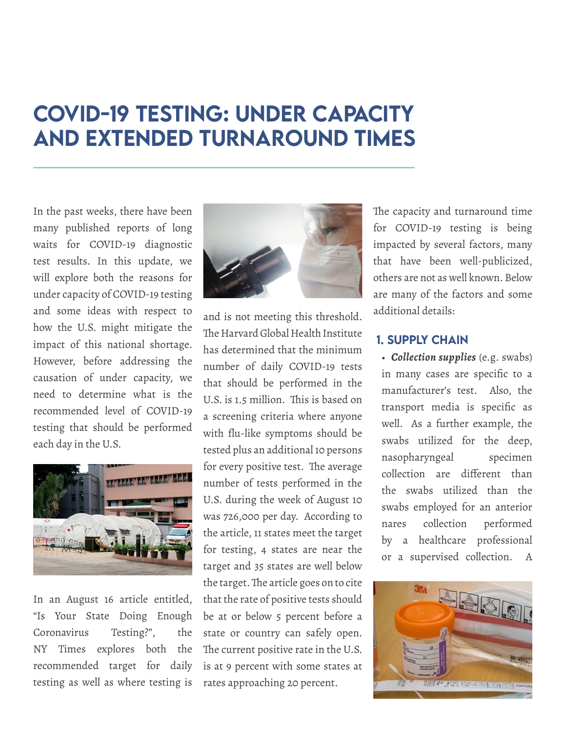# <span id="page-2-0"></span>COVID-19 Testing: Under Capacity and Extended Turnaround Times

In the past weeks, there have been many published reports of long waits for COVID-19 diagnostic test results. In this update, we will explore both the reasons for under capacity of COVID-19 testing and some ideas with respect to how the U.S. might mitigate the impact of this national shortage. However, before addressing the causation of under capacity, we need to determine what is the recommended level of COVID-19 testing that should be performed each day in the U.S.



In an August 16 article entitled, "Is Your State Doing Enough Coronavirus Testing?", the NY Times explores both the recommended target for daily testing as well as where testing is



and is not meeting this threshold. The Harvard Global Health Institute has determined that the minimum number of daily COVID-19 tests that should be performed in the U.S. is 1.5 million. This is based on a screening criteria where anyone with flu-like symptoms should be tested plus an additional 10 persons for every positive test. The average number of tests performed in the U.S. during the week of August 10 was 726,000 per day. According to the article, 11 states meet the target for testing, 4 states are near the target and 35 states are well below the target. The article goes on to cite that the rate of positive tests should be at or below 5 percent before a state or country can safely open. The current positive rate in the U.S. is at 9 percent with some states at rates approaching 20 percent.

The capacity and turnaround time for COVID-19 testing is being impacted by several factors, many that have been well-publicized, others are not as well known. Below are many of the factors and some additional details:

### 1. Supply Chain

• *Collection supplies* (e.g. swabs) in many cases are specific to a manufacturer's test. Also, the transport media is specific as well. As a further example, the swabs utilized for the deep, nasopharyngeal specimen collection are different than the swabs utilized than the swabs employed for an anterior nares collection performed by a healthcare professional or a supervised collection. A

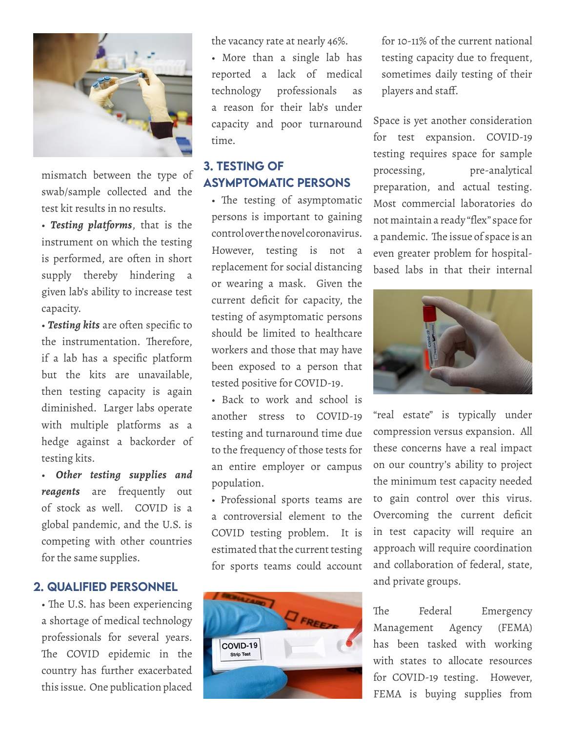

mismatch between the type of swab/sample collected and the test kit results in no results.

• *Testing platforms*, that is the instrument on which the testing is performed, are often in short supply thereby hindering a given lab's ability to increase test capacity.

• *Testing kits* are often specific to the instrumentation. Therefore, if a lab has a specific platform but the kits are unavailable, then testing capacity is again diminished. Larger labs operate with multiple platforms as a hedge against a backorder of testing kits.

• *Other testing supplies and reagents* are frequently out of stock as well. COVID is a global pandemic, and the U.S. is competing with other countries for the same supplies.

### 2. QUALIFIED PERSONNEL

• The U.S. has been experiencing a shortage of medical technology professionals for several years. The COVID epidemic in the country has further exacerbated this issue. One publication placed

the vacancy rate at nearly 46%.

• More than a single lab has reported a lack of medical technology professionals as a reason for their lab's under capacity and poor turnaround time.

### 3. TESTING OF ASYMPTOMATIC PERSONS

• The testing of asymptomatic persons is important to gaining control over the novel coronavirus. However, testing is not a replacement for social distancing or wearing a mask. Given the current deficit for capacity, the testing of asymptomatic persons should be limited to healthcare workers and those that may have been exposed to a person that tested positive for COVID-19.

• Back to work and school is another stress to COVID-19 testing and turnaround time due to the frequency of those tests for an entire employer or campus population.

• Professional sports teams are a controversial element to the COVID testing problem. It is estimated that the current testing for sports teams could account



for 10-11% of the current national testing capacity due to frequent, sometimes daily testing of their players and staff.

Space is yet another consideration for test expansion. COVID-19 testing requires space for sample processing, pre-analytical preparation, and actual testing. Most commercial laboratories do not maintain a ready "flex" space for a pandemic. The issue of space is an even greater problem for hospitalbased labs in that their internal



"real estate" is typically under compression versus expansion. All these concerns have a real impact on our country's ability to project the minimum test capacity needed to gain control over this virus. Overcoming the current deficit in test capacity will require an approach will require coordination and collaboration of federal, state, and private groups.

The Federal Emergency Management Agency (FEMA) has been tasked with working with states to allocate resources for COVID-19 testing. However, FEMA is buying supplies from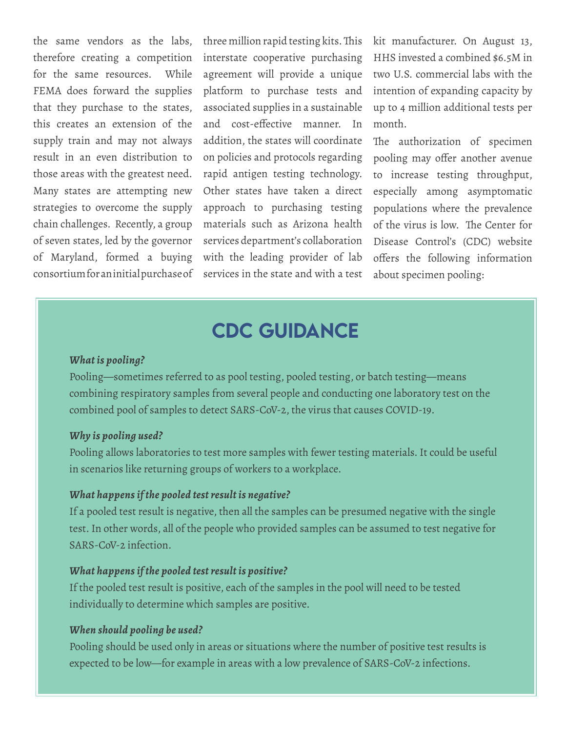the same vendors as the labs, therefore creating a competition for the same resources. While FEMA does forward the supplies that they purchase to the states, this creates an extension of the supply train and may not always result in an even distribution to those areas with the greatest need. Many states are attempting new strategies to overcome the supply chain challenges. Recently, a group of seven states, led by the governor of Maryland, formed a buying consortium for an initial purchase of

three million rapid testing kits. This interstate cooperative purchasing agreement will provide a unique platform to purchase tests and associated supplies in a sustainable and cost-effective manner. In addition, the states will coordinate on policies and protocols regarding rapid antigen testing technology. Other states have taken a direct approach to purchasing testing materials such as Arizona health services department's collaboration with the leading provider of lab services in the state and with a test

kit manufacturer. On August 13, HHS invested a combined \$6.5M in two U.S. commercial labs with the intention of expanding capacity by up to 4 million additional tests per month.

The authorization of specimen pooling may offer another avenue to increase testing throughput, especially among asymptomatic populations where the prevalence of the virus is low. The Center for Disease Control's (CDC) website offers the following information about specimen pooling:

### CDC GUIDANCE

#### *What is pooling?*

Pooling—sometimes referred to as pool testing, pooled testing, or batch testing—means combining respiratory samples from several people and conducting one laboratory test on the combined pool of samples to detect SARS-CoV-2, the virus that causes COVID-19.

#### *Why is pooling used?*

Pooling allows laboratories to test more samples with fewer testing materials. It could be useful in scenarios like returning groups of workers to a workplace.

#### *What happens if the pooled test result is negative?*

If a pooled test result is negative, then all the samples can be presumed negative with the single test. In other words, all of the people who provided samples can be assumed to test negative for SARS-CoV-2 infection.

#### *What happens if the pooled test result is positive?*

If the pooled test result is positive, each of the samples in the pool will need to be tested individually to determine which samples are positive.

#### *When should pooling be used?*

Pooling should be used only in areas or situations where the number of positive test results is expected to be low—for example in areas with a low prevalence of SARS-CoV-2 infections.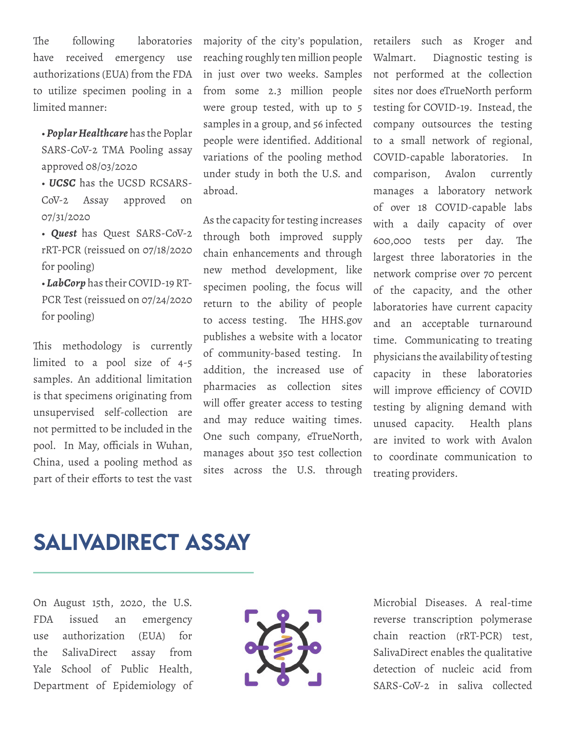The following laboratories have received emergency use authorizations (EUA) from the FDA to utilize specimen pooling in a limited manner:

• *Poplar Healthcare* has the Poplar SARS-CoV-2 TMA Pooling assay approved 08/03/2020

• *UCSC* has the UCSD RCSARS-CoV-2 Assay approved on 07/31/2020

• *Quest* has Quest SARS-CoV-2 rRT-PCR (reissued on 07/18/2020 for pooling)

• *LabCorp* has their COVID-19 RT-PCR Test (reissued on 07/24/2020 for pooling)

This methodology is currently limited to a pool size of 4-5 samples. An additional limitation is that specimens originating from unsupervised self-collection are not permitted to be included in the pool. In May, officials in Wuhan, China, used a pooling method as part of their efforts to test the vast

majority of the city's population, reaching roughly ten million people in just over two weeks. Samples from some 2.3 million people were group tested, with up to 5 samples in a group, and 56 infected people were identified. Additional variations of the pooling method under study in both the U.S. and abroad.

As the capacity for testing increases through both improved supply chain enhancements and through new method development, like specimen pooling, the focus will return to the ability of people to access testing. The HHS.gov publishes a website with a locator of community-based testing. In addition, the increased use of pharmacies as collection sites will offer greater access to testing and may reduce waiting times. One such company, eTrueNorth, manages about 350 test collection sites across the U.S. through

retailers such as Kroger and Walmart. Diagnostic testing is not performed at the collection sites nor does eTrueNorth perform testing for COVID-19. Instead, the company outsources the testing to a small network of regional, COVID-capable laboratories. In comparison, Avalon currently manages a laboratory network of over 18 COVID-capable labs with a daily capacity of over 600,000 tests per day. The largest three laboratories in the network comprise over 70 percent of the capacity, and the other laboratories have current capacity and an acceptable turnaround time. Communicating to treating physicians the availability of testing capacity in these laboratories will improve efficiency of COVID testing by aligning demand with unused capacity. Health plans are invited to work with Avalon to coordinate communication to treating providers.

## <span id="page-5-0"></span>SalivaDirect Assay

On August 15th, 2020, the U.S. FDA issued an emergency use authorization (EUA) for the SalivaDirect assay from Yale School of Public Health, Department of Epidemiology of



Microbial Diseases. A real-time reverse transcription polymerase chain reaction (rRT-PCR) test, SalivaDirect enables the qualitative detection of nucleic acid from SARS-CoV-2 in saliva collected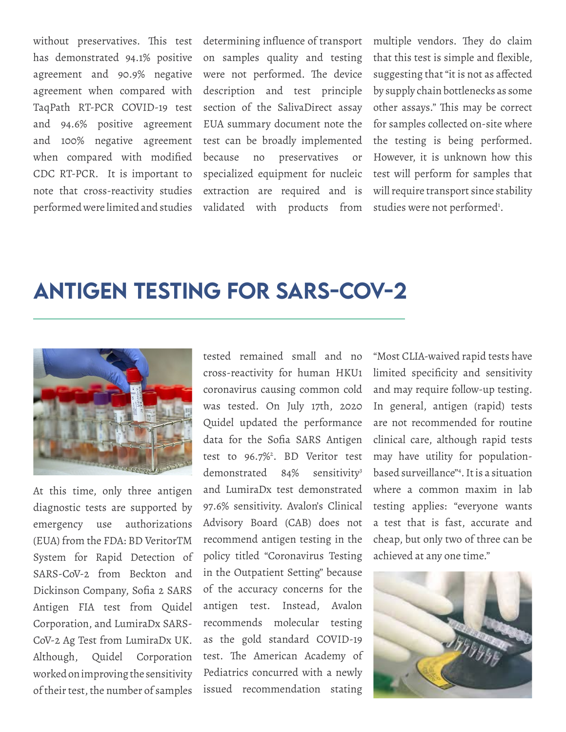without preservatives. This test has demonstrated 94.1% positive agreement and 90.9% negative agreement when compared with TaqPath RT-PCR COVID-19 test and 94.6% positive agreement and 100% negative agreement when compared with modified CDC RT-PCR. It is important to note that cross-reactivity studies performed were limited and studies determining influence of transport on samples quality and testing were not performed. The device description and test principle section of the SalivaDirect assay EUA summary document note the test can be broadly implemented because no preservatives or specialized equipment for nucleic extraction are required and is validated with products from multiple vendors. They do claim that this test is simple and flexible, suggesting that "it is not as affected by supply chain bottlenecks as some other assays." This may be correct for samples collected on-site where the testing is being performed. However, it is unknown how this test will perform for samples that will require transport since stability studies were not performed<sup>1</sup>.

### <span id="page-6-0"></span>Antigen Testing for SARS-CoV-2



At this time, only three antigen diagnostic tests are supported by emergency use authorizations (EUA) from the FDA: BD VeritorTM System for Rapid Detection of SARS-CoV-2 from Beckton and Dickinson Company, Sofia 2 SARS Antigen FIA test from Quidel Corporation, and LumiraDx SARS-CoV-2 Ag Test from LumiraDx UK. Although, Quidel Corporation worked on improving the sensitivity of their test, the number of samples

tested remained small and no cross-reactivity for human HKU1 coronavirus causing common cold was tested. On July 17th, 2020 Quidel updated the performance data for the Sofia SARS Antigen test to 96.7%<sup>2</sup>. BD Veritor test demonstrated 84% sensitivity<sup>3</sup> and LumiraDx test demonstrated 97.6% sensitivity. Avalon's Clinical Advisory Board (CAB) does not recommend antigen testing in the policy titled "Coronavirus Testing in the Outpatient Setting" because of the accuracy concerns for the antigen test. Instead, Avalon recommends molecular testing as the gold standard COVID-19 test. The American Academy of Pediatrics concurred with a newly issued recommendation stating

"Most CLIA-waived rapid tests have limited specificity and sensitivity and may require follow-up testing. In general, antigen (rapid) tests are not recommended for routine clinical care, although rapid tests may have utility for populationbased surveillance"4 . It is a situation where a common maxim in lab testing applies: "everyone wants a test that is fast, accurate and cheap, but only two of three can be achieved at any one time."

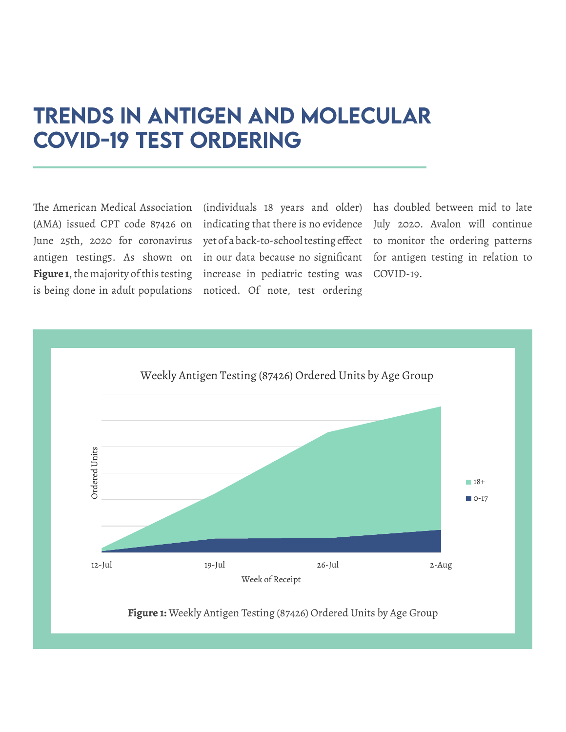# <span id="page-7-0"></span>Trends in Antigen and Molecular COVID-19 Test Ordering

The American Medical Association (AMA) issued CPT code 87426 on indicating that there is no evidence June 25th, 2020 for coronavirus antigen testing5. As shown on **Figure 1**, the majority of this testing is being done in adult populations

(individuals 18 years and older) has doubled between mid to late yet of a back-to-school testing effect in our data because no significant increase in pediatric testing was COVID-19. noticed. Of note, test ordering

July 2020. Avalon will continue to monitor the ordering patterns for antigen testing in relation to



**Figure 1:** Weekly Antigen Testing (87426) Ordered Units by Age Group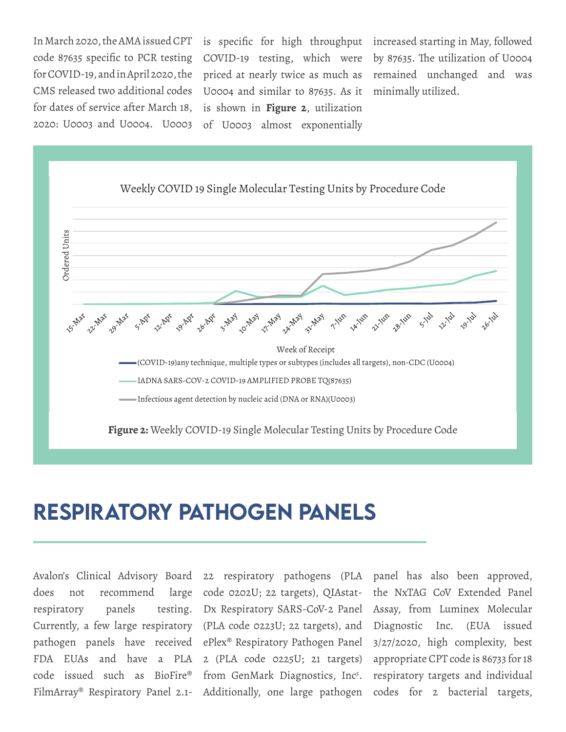In March 2020, the AMA issued CPT code 87635 specific to PCR testing for COVID-19, and in April 2020, the CMS released two additional codes for dates of service after March 18, 2020: U0003 and U0004. U0003

COVID-19 testing, which were U0004 and similar to 87635. As it minimally utilized. is shown in **Figure 2**, utilization of U0003 almost exponentially

is specific for high throughput increased starting in May, followed priced at nearly twice as much as remained unchanged and was by 87635. The utilization of U0004



## <span id="page-8-0"></span>Respiratory Pathogen Panels

does not recommend respiratory panels

Avalon's Clinical Advisory Board 22 respiratory pathogens (PLA panel has also been approved, Currently, a few large respiratory (PLA code 0223U; 22 targets), and pathogen panels have received ePlex® Respiratory Pathogen Panel FDA EUAs and have a PLA 2 (PLA code 0225U; 21 targets) code issued such as BioFire® from GenMark Diagnostics, Inc5 . large code 0202U; 22 targets), QIAstat-Dx Respiratory SARS-CoV-2 Panel

FilmArray® Respiratory Panel 2.1- Additionally, one large pathogen codes for 2 bacterial targets, the NxTAG CoV Extended Panel Assay, from Luminex Molecular Diagnostic Inc. (EUA issued 3/27/2020, high complexity, best appropriate CPT code is 86733 for 18 respiratory targets and individual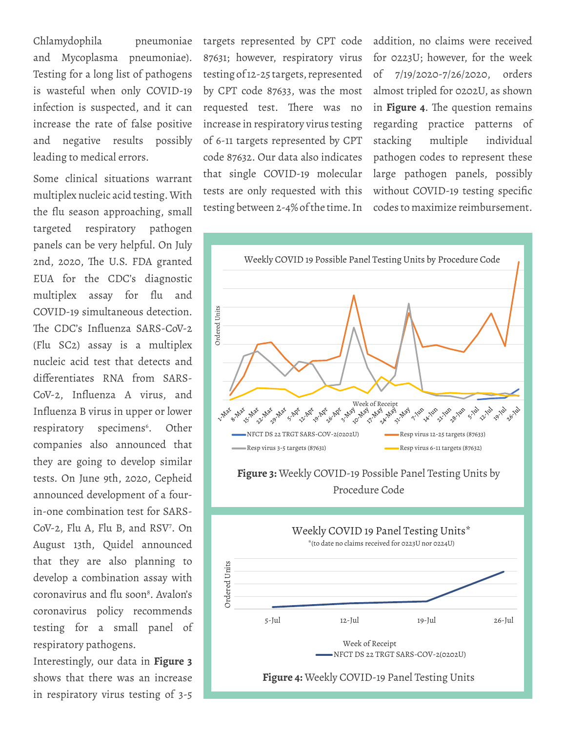Chlamydophila pneumoniae and Mycoplasma pneumoniae). Testing for a long list of pathogens is wasteful when only COVID-19 infection is suspected, and it can increase the rate of false positive and negative results possibly leading to medical errors.

Some clinical situations warrant multiplex nucleic acid testing. With the flu season approaching, small targeted respiratory pathogen panels can be very helpful. On July 2nd, 2020, The U.S. FDA granted EUA for the CDC's diagnostic multiplex assay for flu and COVID-19 simultaneous detection. The CDC's Influenza SARS-CoV-2 (Flu SC2) assay is a multiplex nucleic acid test that detects and differentiates RNA from SARS-CoV-2, Influenza A virus, and Influenza B virus in upper or lower respiratory specimens<sup>6</sup>. Other companies also announced that they are going to develop similar tests. On June 9th, 2020, Cepheid announced development of a fourin-one combination test for SARS-CoV-2, Flu A, Flu B, and RSV7 . On August 13th, Quidel announced that they are also planning to develop a combination assay with coronavirus and flu soon<sup>8</sup>. Avalon's coronavirus policy recommends testing for a small panel of respiratory pathogens.

Interestingly, our data in **Figure 3**  shows that there was an increase in respiratory virus testing of 3-5

targets represented by CPT code testing of 12-25 targets, represented by CPT code 87633, was the most requested test. There was no increase in respiratory virus testing of 6-11 targets represented by CPT code 87632. Our data also indicates that single COVID-19 molecular tests are only requested with this testing between 2-4% of the time. In

87631; however, respiratory virus for 0223U; however, for the week addition, no claims were received of 7/19/2020-7/26/2020, orders almost tripled for 0202U, as shown in **Figure 4**. The question remains regarding practice patterns of stacking multiple individual pathogen codes to represent these large pathogen panels, possibly without COVID-19 testing specific codes to maximize reimbursement.

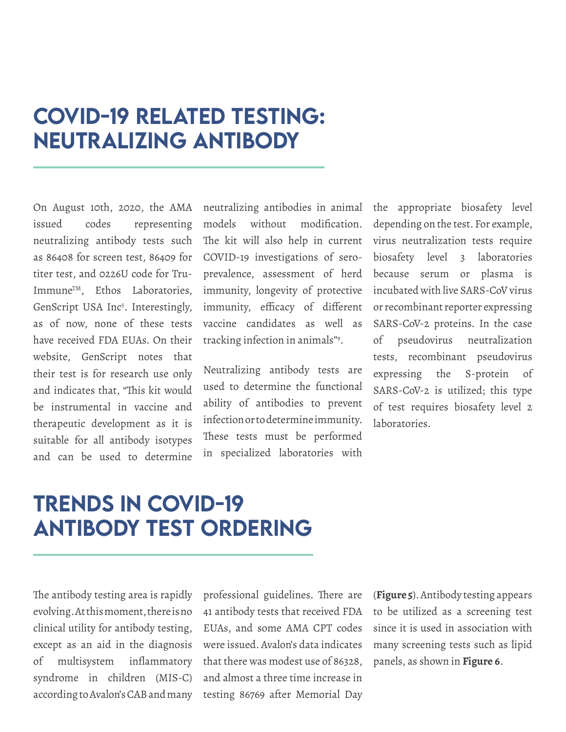# <span id="page-10-0"></span>COVID-19 Related Testing: Neutralizing Antibody

On August 10th, 2020, the AMA issued codes representing neutralizing antibody tests such as 86408 for screen test, 86409 for titer test, and 0226U code for Tru-Immune<sup>TM</sup>, Ethos Laboratories, GenScript USA Inc<sup>5</sup>. Interestingly, as of now, none of these tests have received FDA EUAs. On their website, GenScript notes that their test is for research use only and indicates that, "This kit would be instrumental in vaccine and therapeutic development as it is suitable for all antibody isotypes and can be used to determine

neutralizing antibodies in animal models without modification. The kit will also help in current COVID-19 investigations of seroprevalence, assessment of herd immunity, longevity of protective immunity, efficacy of different vaccine candidates as well as tracking infection in animals"9 .

Neutralizing antibody tests are used to determine the functional ability of antibodies to prevent infection or to determine immunity. These tests must be performed in specialized laboratories with the appropriate biosafety level depending on the test. For example, virus neutralization tests require biosafety level 3 laboratories because serum or plasma is incubated with live SARS-CoV virus or recombinant reporter expressing SARS-CoV-2 proteins. In the case of pseudovirus neutralization tests, recombinant pseudovirus expressing the S-protein of SARS-CoV-2 is utilized; this type of test requires biosafety level 2 laboratories.

# Trends in COVID-19 Antibody Test Ordering

The antibody testing area is rapidly evolving. At this moment, there is no clinical utility for antibody testing, except as an aid in the diagnosis of multisystem inflammatory syndrome in children (MIS-C) according to Avalon's CAB and many professional guidelines. There are 41 antibody tests that received FDA EUAs, and some AMA CPT codes were issued. Avalon's data indicates that there was modest use of 86328, and almost a three time increase in testing 86769 after Memorial Day

(**Figure 5**). Antibody testing appears to be utilized as a screening test since it is used in association with many screening tests such as lipid panels, as shown in **Figure 6**.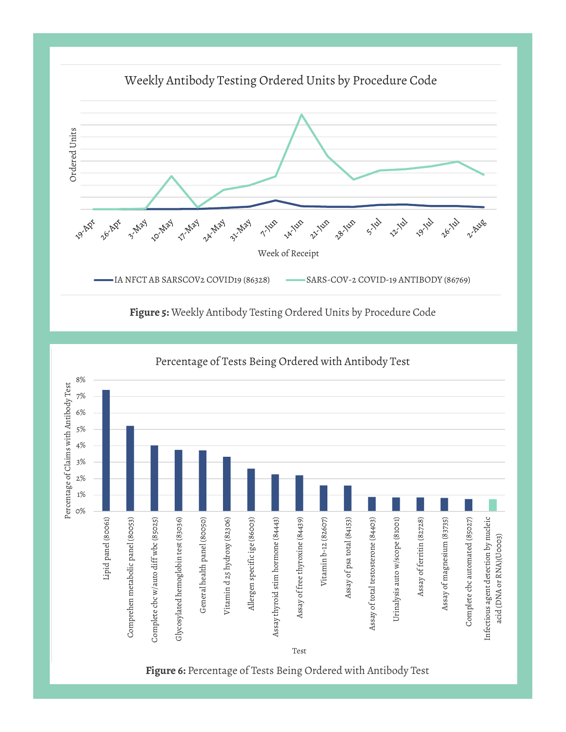

**Figure 5:** Weekly Antibody Testing Ordered Units by Procedure Code

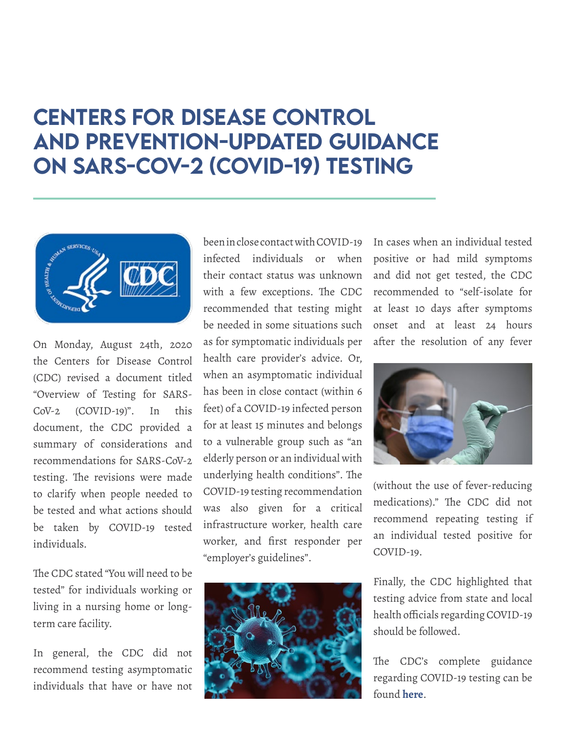# <span id="page-12-0"></span>Centers for Disease Control and Prevention-Updated Guidance on SARS-CoV-2 (COVID-19) Testing



On Monday, August 24th, 2020 the Centers for Disease Control (CDC) revised a document titled "Overview of Testing for SARS-CoV-2 (COVID-19)". In this document, the CDC provided a summary of considerations and recommendations for SARS-CoV-2 testing. The revisions were made to clarify when people needed to be tested and what actions should be taken by COVID-19 tested individuals.

The CDC stated "You will need to be tested" for individuals working or living in a nursing home or longterm care facility.

In general, the CDC did not recommend testing asymptomatic individuals that have or have not

been in close contact with COVID-19 infected individuals or when their contact status was unknown with a few exceptions. The CDC recommended that testing might be needed in some situations such as for symptomatic individuals per health care provider's advice. Or, when an asymptomatic individual has been in close contact (within 6 feet) of a COVID-19 infected person for at least 15 minutes and belongs to a vulnerable group such as "an elderly person or an individual with underlying health conditions". The COVID-19 testing recommendation was also given for a critical infrastructure worker, health care worker, and first responder per "employer's guidelines".



In cases when an individual tested positive or had mild symptoms and did not get tested, the CDC recommended to "self-isolate for at least 10 days after symptoms onset and at least 24 hours after the resolution of any fever



(without the use of fever-reducing medications)." The CDC did not recommend repeating testing if an individual tested positive for COVID-19.

Finally, the CDC highlighted that testing advice from state and local health officials regarding COVID-19 should be followed.

The CDC's complete guidance regarding COVID-19 testing can be found **[here](https://www.cdc.gov/coronavirus/2019-ncov/hcp/testing-overview.html)**.